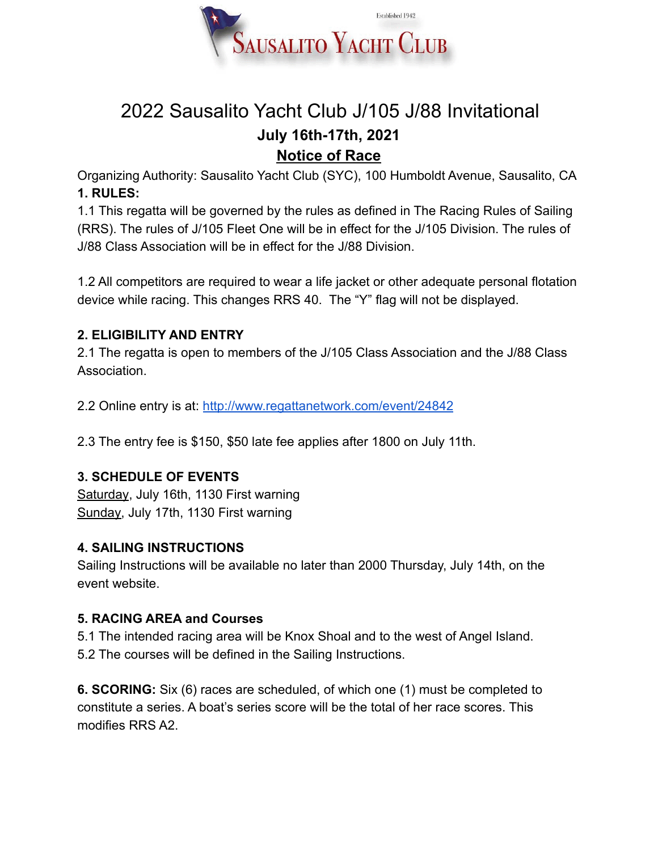

## 2022 Sausalito Yacht Club J/105 J/88 Invitational **July 16th-17th, 2021 Notice of Race**

Organizing Authority: Sausalito Yacht Club (SYC), 100 Humboldt Avenue, Sausalito, CA **1. RULES:**

1.1 This regatta will be governed by the rules as defined in The Racing Rules of Sailing (RRS). The rules of J/105 Fleet One will be in effect for the J/105 Division. The rules of J/88 Class Association will be in effect for the J/88 Division.

1.2 All competitors are required to wear a life jacket or other adequate personal flotation device while racing. This changes RRS 40. The "Y" flag will not be displayed.

### **2. ELIGIBILITY AND ENTRY**

2.1 The regatta is open to members of the J/105 Class Association and the J/88 Class Association.

2.2 Online entry is at: <http://www.regattanetwork.com/event/24842>

2.3 The entry fee is \$150, \$50 late fee applies after 1800 on July 11th.

#### **3. SCHEDULE OF EVENTS**

Saturday, July 16th, 1130 First warning Sunday, July 17th, 1130 First warning

#### **4. SAILING INSTRUCTIONS**

Sailing Instructions will be available no later than 2000 Thursday, July 14th, on the event website.

#### **5. RACING AREA and Courses**

5.1 The intended racing area will be Knox Shoal and to the west of Angel Island. 5.2 The courses will be defined in the Sailing Instructions.

**6. SCORING:** Six (6) races are scheduled, of which one (1) must be completed to constitute a series. A boat's series score will be the total of her race scores. This modifies RRS A2.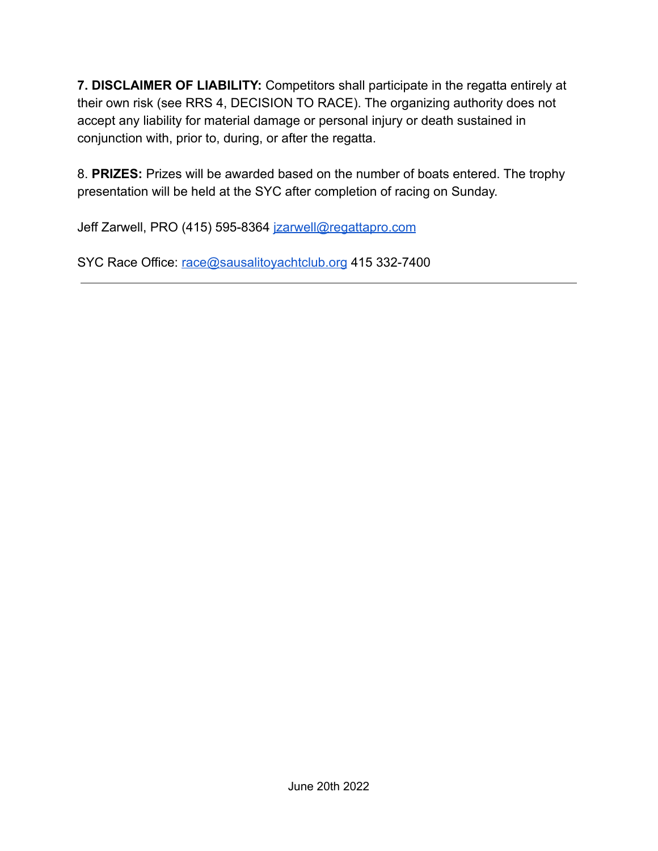**7. DISCLAIMER OF LIABILITY:** Competitors shall participate in the regatta entirely at their own risk (see RRS 4, DECISION TO RACE). The organizing authority does not accept any liability for material damage or personal injury or death sustained in conjunction with, prior to, during, or after the regatta.

8. **PRIZES:** Prizes will be awarded based on the number of boats entered. The trophy presentation will be held at the SYC after completion of racing on Sunday.

Jeff Zarwell, PRO (415) 595-8364 [jzarwell@regattapro.com](mailto:jzarwell@regattapro.com)

SYC Race Office: [race@sausalitoyachtclub.org](mailto:race@sausalitoyachtclub.org) 415 332-7400